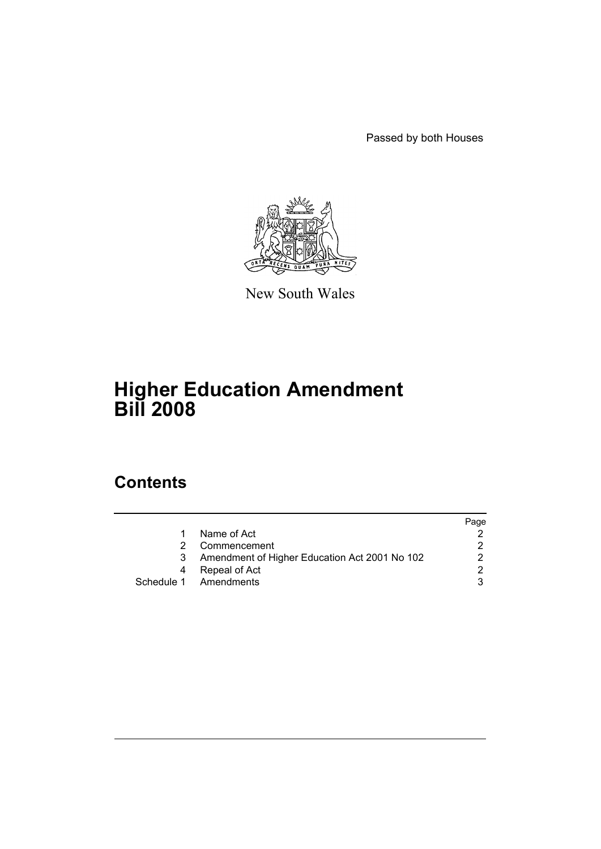Passed by both Houses



New South Wales

# **Higher Education Amendment Bill 2008**

# **Contents**

|                                               | Page |
|-----------------------------------------------|------|
| Name of Act                                   |      |
| Commencement                                  |      |
| Amendment of Higher Education Act 2001 No 102 |      |
| Repeal of Act                                 | ⌒    |
| Schedule 1 Amendments                         |      |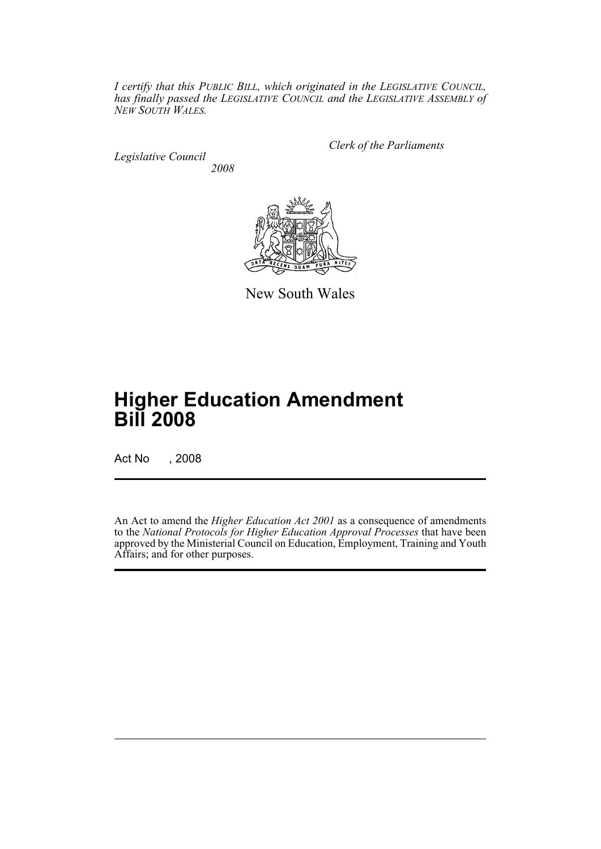*I certify that this PUBLIC BILL, which originated in the LEGISLATIVE COUNCIL, has finally passed the LEGISLATIVE COUNCIL and the LEGISLATIVE ASSEMBLY of NEW SOUTH WALES.*

*Legislative Council 2008* *Clerk of the Parliaments*



New South Wales

# **Higher Education Amendment Bill 2008**

Act No , 2008

An Act to amend the *Higher Education Act 2001* as a consequence of amendments to the *National Protocols for Higher Education Approval Processes* that have been approved by the Ministerial Council on Education, Employment, Training and Youth Affairs; and for other purposes.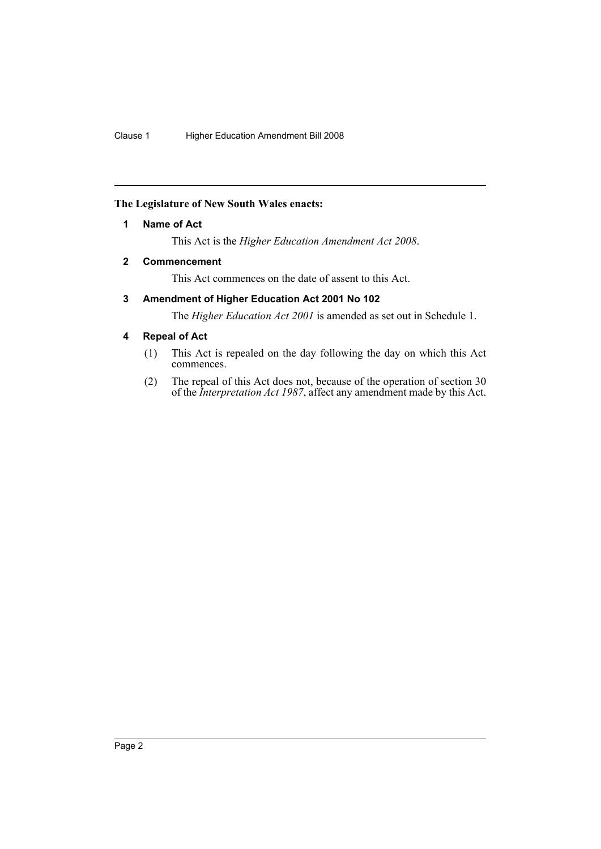# <span id="page-2-0"></span>**The Legislature of New South Wales enacts:**

# **1 Name of Act**

This Act is the *Higher Education Amendment Act 2008*.

# <span id="page-2-1"></span>**2 Commencement**

This Act commences on the date of assent to this Act.

# <span id="page-2-2"></span>**3 Amendment of Higher Education Act 2001 No 102**

The *Higher Education Act 2001* is amended as set out in Schedule 1.

# <span id="page-2-3"></span>**4 Repeal of Act**

- (1) This Act is repealed on the day following the day on which this Act commences.
- (2) The repeal of this Act does not, because of the operation of section 30 of the *Interpretation Act 1987*, affect any amendment made by this Act.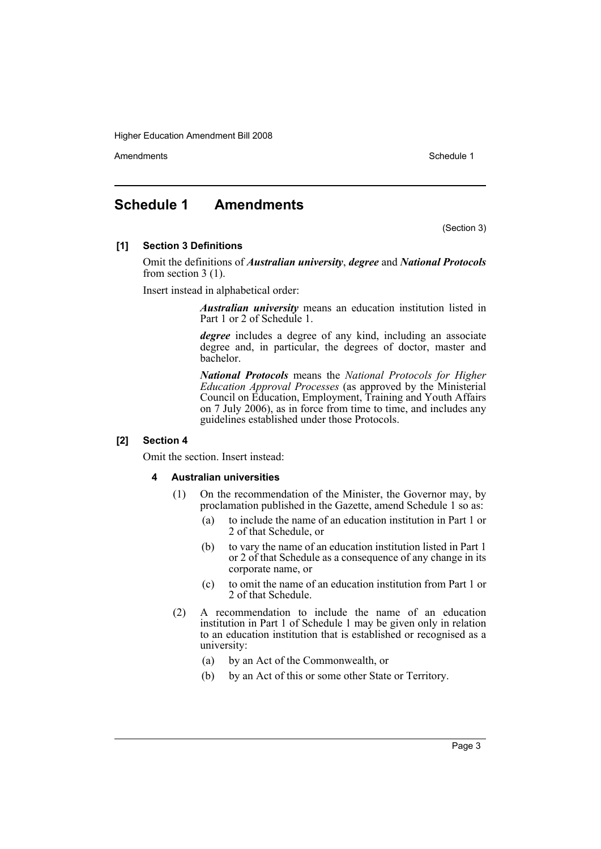Amendments **Amendments** Schedule 1

# <span id="page-3-0"></span>**Schedule 1 Amendments**

(Section 3)

#### **[1] Section 3 Definitions**

Omit the definitions of *Australian university*, *degree* and *National Protocols* from section 3 (1).

Insert instead in alphabetical order:

*Australian university* means an education institution listed in Part 1 or 2 of Schedule 1.

*degree* includes a degree of any kind, including an associate degree and, in particular, the degrees of doctor, master and bachelor.

*National Protocols* means the *National Protocols for Higher Education Approval Processes* (as approved by the Ministerial Council on Education, Employment, Training and Youth Affairs on 7 July 2006), as in force from time to time, and includes any guidelines established under those Protocols.

#### **[2] Section 4**

Omit the section. Insert instead:

#### **4 Australian universities**

- (1) On the recommendation of the Minister, the Governor may, by proclamation published in the Gazette, amend Schedule 1 so as:
	- (a) to include the name of an education institution in Part 1 or 2 of that Schedule, or
	- (b) to vary the name of an education institution listed in Part 1 or 2 of that Schedule as a consequence of any change in its corporate name, or
	- (c) to omit the name of an education institution from Part 1 or 2 of that Schedule.
- (2) A recommendation to include the name of an education institution in Part 1 of Schedule 1 may be given only in relation to an education institution that is established or recognised as a university:
	- (a) by an Act of the Commonwealth, or
	- (b) by an Act of this or some other State or Territory.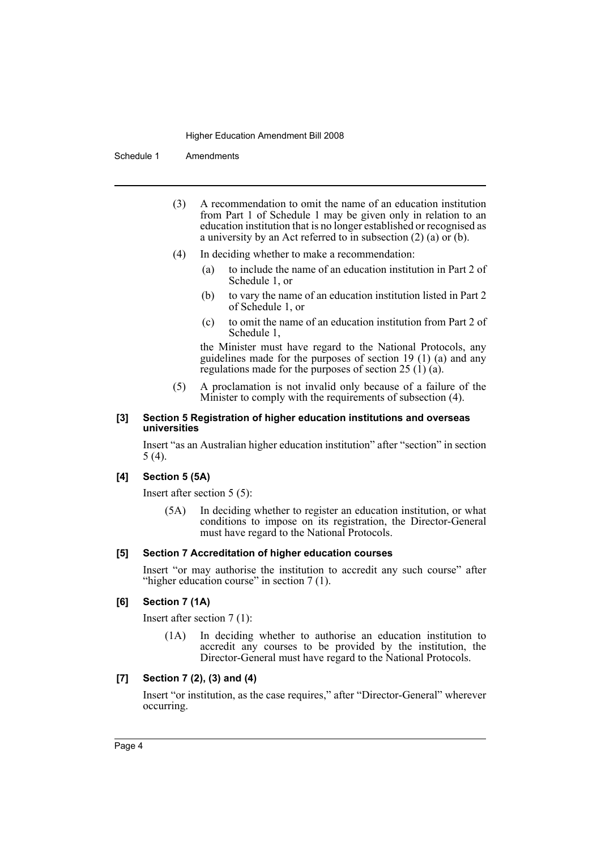Schedule 1 Amendments

- (3) A recommendation to omit the name of an education institution from Part 1 of Schedule 1 may be given only in relation to an education institution that is no longer established or recognised as a university by an Act referred to in subsection (2) (a) or (b).
- (4) In deciding whether to make a recommendation:
	- (a) to include the name of an education institution in Part 2 of Schedule 1, or
	- (b) to vary the name of an education institution listed in Part 2 of Schedule 1, or
	- (c) to omit the name of an education institution from Part 2 of Schedule 1,

the Minister must have regard to the National Protocols, any guidelines made for the purposes of section 19 (1) (a) and any regulations made for the purposes of section 25 (1) (a).

(5) A proclamation is not invalid only because of a failure of the Minister to comply with the requirements of subsection (4).

#### **[3] Section 5 Registration of higher education institutions and overseas universities**

Insert "as an Australian higher education institution" after "section" in section 5 (4).

## **[4] Section 5 (5A)**

Insert after section 5 (5):

(5A) In deciding whether to register an education institution, or what conditions to impose on its registration, the Director-General must have regard to the National Protocols.

#### **[5] Section 7 Accreditation of higher education courses**

Insert "or may authorise the institution to accredit any such course" after "higher education course" in section 7 (1).

#### **[6] Section 7 (1A)**

Insert after section 7 (1):

(1A) In deciding whether to authorise an education institution to accredit any courses to be provided by the institution, the Director-General must have regard to the National Protocols.

# **[7] Section 7 (2), (3) and (4)**

Insert "or institution, as the case requires," after "Director-General" wherever occurring.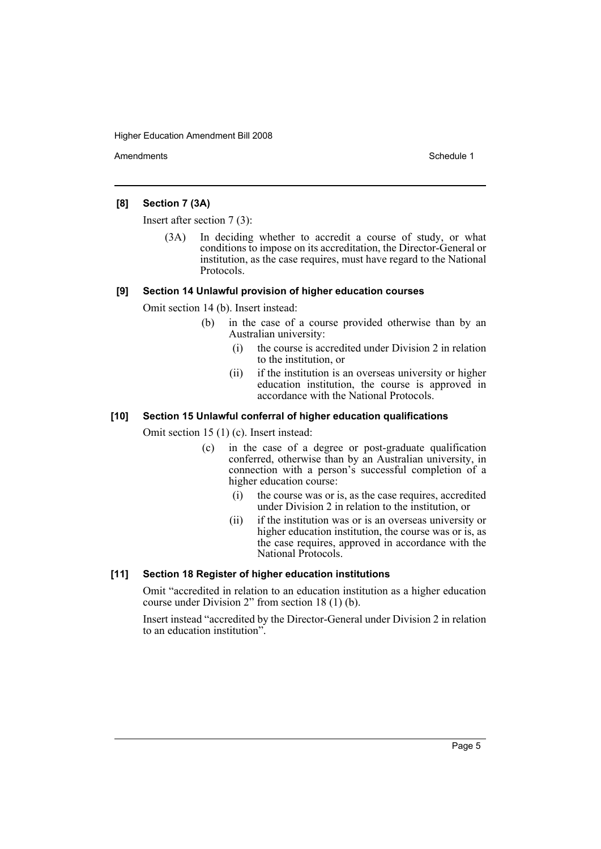Amendments **Amendments** Schedule 1

#### **[8] Section 7 (3A)**

Insert after section 7 (3):

(3A) In deciding whether to accredit a course of study, or what conditions to impose on its accreditation, the Director-General or institution, as the case requires, must have regard to the National Protocols.

#### **[9] Section 14 Unlawful provision of higher education courses**

Omit section 14 (b). Insert instead:

- (b) in the case of a course provided otherwise than by an Australian university:
	- (i) the course is accredited under Division 2 in relation to the institution, or
	- (ii) if the institution is an overseas university or higher education institution, the course is approved in accordance with the National Protocols.

### **[10] Section 15 Unlawful conferral of higher education qualifications**

Omit section 15 (1) (c). Insert instead:

- (c) in the case of a degree or post-graduate qualification conferred, otherwise than by an Australian university, in connection with a person's successful completion of a higher education course:
	- (i) the course was or is, as the case requires, accredited under Division 2 in relation to the institution, or
	- (ii) if the institution was or is an overseas university or higher education institution, the course was or is, as the case requires, approved in accordance with the National Protocols.

## **[11] Section 18 Register of higher education institutions**

Omit "accredited in relation to an education institution as a higher education course under Division 2" from section 18 (1) (b).

Insert instead "accredited by the Director-General under Division 2 in relation to an education institution".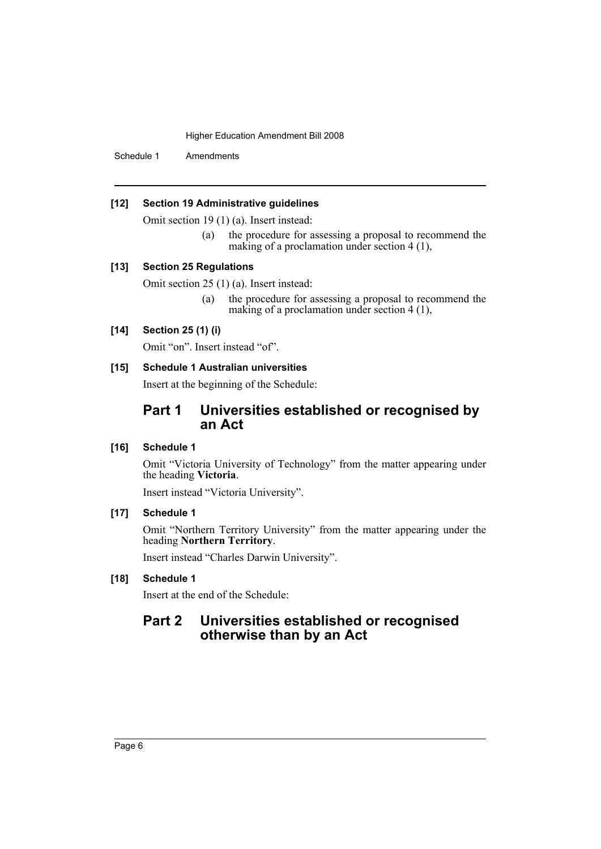Schedule 1 Amendments

### **[12] Section 19 Administrative guidelines**

Omit section 19 (1) (a). Insert instead:

(a) the procedure for assessing a proposal to recommend the making of a proclamation under section 4 (1),

# **[13] Section 25 Regulations**

Omit section 25 (1) (a). Insert instead:

(a) the procedure for assessing a proposal to recommend the making of a proclamation under section 4 (1),

#### **[14] Section 25 (1) (i)**

Omit "on". Insert instead "of".

## **[15] Schedule 1 Australian universities**

Insert at the beginning of the Schedule:

# **Part 1 Universities established or recognised by an Act**

#### **[16] Schedule 1**

Omit "Victoria University of Technology" from the matter appearing under the heading **Victoria**.

Insert instead "Victoria University".

### **[17] Schedule 1**

Omit "Northern Territory University" from the matter appearing under the heading **Northern Territory**.

Insert instead "Charles Darwin University".

# **[18] Schedule 1**

Insert at the end of the Schedule:

# **Part 2 Universities established or recognised otherwise than by an Act**